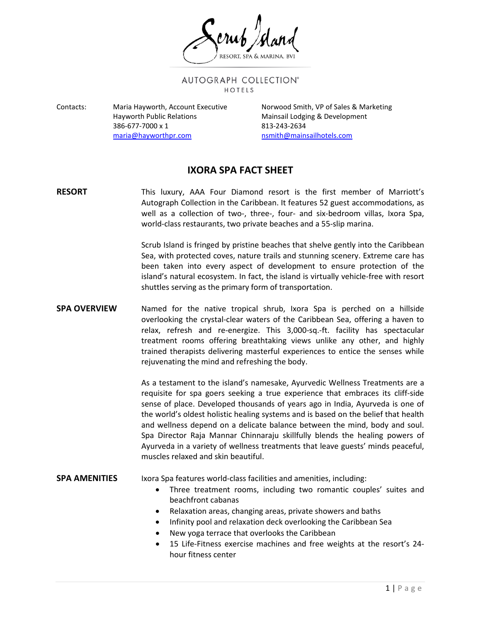AUTOGRAPH COLLECTION® HOTELS

Contacts: Maria Hayworth, Account Executive Norwood Smith, VP of Sales & Marketing Hayworth Public Relations **Mainsail Lodging & Development** 386-677-7000 x 1 813-243-2634 [maria@hayworthpr.com](mailto:maria@hayworthpr.com) [nsmith@mainsailhotels.com](mailto:nsmith@mainsailhotels.com)

# **IXORA SPA FACT SHEET**

**RESORT** This luxury, AAA Four Diamond resort is the first member of Marriott's Autograph Collection in the Caribbean. It features 52 guest accommodations, as well as a collection of two-, three-, four- and six-bedroom villas, Ixora Spa, world-class restaurants, two private beaches and a 55-slip marina.

> Scrub Island is fringed by pristine beaches that shelve gently into the Caribbean Sea, with protected coves, nature trails and stunning scenery. Extreme care has been taken into every aspect of development to ensure protection of the island's natural ecosystem. In fact, the island is virtually vehicle-free with resort shuttles serving as the primary form of transportation.

## **SPA OVERVIEW** Named for the native tropical shrub, Ixora Spa is perched on a hillside overlooking the crystal-clear waters of the Caribbean Sea, offering a haven to relax, refresh and re-energize. This 3,000-sq.-ft. facility has spectacular treatment rooms offering breathtaking views unlike any other, and highly trained therapists delivering masterful experiences to entice the senses while rejuvenating the mind and refreshing the body.

As a testament to the island's namesake, Ayurvedic Wellness Treatments are a requisite for spa goers seeking a true experience that embraces its cliff-side sense of place. Developed thousands of years ago in India, Ayurveda is one of the world's oldest holistic healing systems and is based on the belief that health and wellness depend on a delicate balance between the mind, body and soul. Spa Director Raja Mannar Chinnaraju skillfully blends the healing powers of Ayurveda in a variety of wellness treatments that leave guests' minds peaceful, muscles relaxed and skin beautiful.

#### **SPA AMENITIES** Ixora Spa features world-class facilities and amenities, including:

- Three treatment rooms, including two romantic couples' suites and beachfront cabanas
- Relaxation areas, changing areas, private showers and baths
- Infinity pool and relaxation deck overlooking the Caribbean Sea
- New yoga terrace that overlooks the Caribbean
- 15 Life-Fitness exercise machines and free weights at the resort's 24 hour fitness center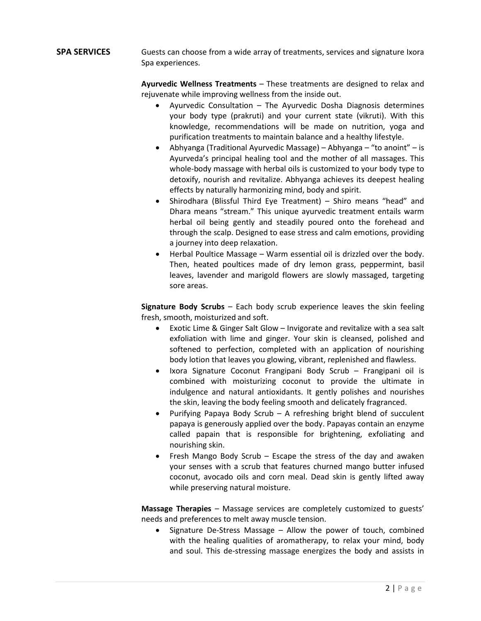### **SPA SERVICES** Guests can choose from a wide array of treatments, services and signature Ixora Spa experiences.

**Ayurvedic Wellness Treatments** – These treatments are designed to relax and rejuvenate while improving wellness from the inside out.

- Ayurvedic Consultation The Ayurvedic Dosha Diagnosis determines your body type (prakruti) and your current state (vikruti). With this knowledge, recommendations will be made on nutrition, yoga and purification treatments to maintain balance and a healthy lifestyle.
- Abhyanga (Traditional Ayurvedic Massage) Abhyanga "to anoint" is Ayurveda's principal healing tool and the mother of all massages. This whole-body massage with herbal oils is customized to your body type to detoxify, nourish and revitalize. Abhyanga achieves its deepest healing effects by naturally harmonizing mind, body and spirit.
- Shirodhara (Blissful Third Eye Treatment) Shiro means "head" and Dhara means "stream." This unique ayurvedic treatment entails warm herbal oil being gently and steadily poured onto the forehead and through the scalp. Designed to ease stress and calm emotions, providing a journey into deep relaxation.
- Herbal Poultice Massage Warm essential oil is drizzled over the body. Then, heated poultices made of dry lemon grass, peppermint, basil leaves, lavender and marigold flowers are slowly massaged, targeting sore areas.

**Signature Body Scrubs** – Each body scrub experience leaves the skin feeling fresh, smooth, moisturized and soft.

- Exotic Lime & Ginger Salt Glow Invigorate and revitalize with a sea salt exfoliation with lime and ginger. Your skin is cleansed, polished and softened to perfection, completed with an application of nourishing body lotion that leaves you glowing, vibrant, replenished and flawless.
- Ixora Signature Coconut Frangipani Body Scrub Frangipani oil is combined with moisturizing coconut to provide the ultimate in indulgence and natural antioxidants. It gently polishes and nourishes the skin, leaving the body feeling smooth and delicately fragranced.
- Purifying Papaya Body Scrub A refreshing bright blend of succulent papaya is generously applied over the body. Papayas contain an enzyme called papain that is responsible for brightening, exfoliating and nourishing skin.
- Fresh Mango Body Scrub Escape the stress of the day and awaken your senses with a scrub that features churned mango butter infused coconut, avocado oils and corn meal. Dead skin is gently lifted away while preserving natural moisture.

**Massage Therapies** – Massage services are completely customized to guests' needs and preferences to melt away muscle tension.

• Signature De-Stress Massage – Allow the power of touch, combined with the healing qualities of aromatherapy, to relax your mind, body and soul. This de-stressing massage energizes the body and assists in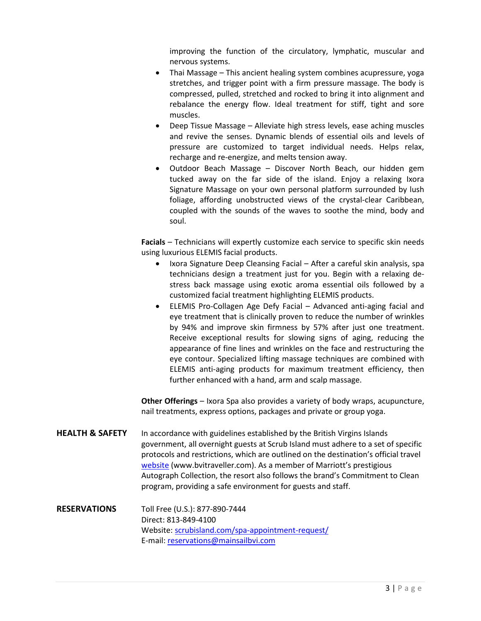improving the function of the circulatory, lymphatic, muscular and nervous systems.

- Thai Massage This ancient healing system combines acupressure, yoga stretches, and trigger point with a firm pressure massage. The body is compressed, pulled, stretched and rocked to bring it into alignment and rebalance the energy flow. Ideal treatment for stiff, tight and sore muscles.
- Deep Tissue Massage Alleviate high stress levels, ease aching muscles and revive the senses. Dynamic blends of essential oils and levels of pressure are customized to target individual needs. Helps relax, recharge and re-energize, and melts tension away.
- Outdoor Beach Massage Discover North Beach, our hidden gem tucked away on the far side of the island. Enjoy a relaxing Ixora Signature Massage on your own personal platform surrounded by lush foliage, affording unobstructed views of the crystal-clear Caribbean, coupled with the sounds of the waves to soothe the mind, body and soul.

**Facials** – Technicians will expertly customize each service to specific skin needs using luxurious ELEMIS facial products.

- Ixora Signature Deep Cleansing Facial After a careful skin analysis, spa technicians design a treatment just for you. Begin with a relaxing destress back massage using exotic aroma essential oils followed by a customized facial treatment highlighting ELEMIS products.
- ELEMIS Pro-Collagen Age Defy Facial Advanced anti-aging facial and eye treatment that is clinically proven to reduce the number of wrinkles by 94% and improve skin firmness by 57% after just one treatment. Receive exceptional results for slowing signs of aging, reducing the appearance of fine lines and wrinkles on the face and restructuring the eye contour. Specialized lifting massage techniques are combined with ELEMIS anti-aging products for maximum treatment efficiency, then further enhanced with a hand, arm and scalp massage.

**Other Offerings** – Ixora Spa also provides a variety of body wraps, acupuncture, nail treatments, express options, packages and private or group yoga.

- **HEALTH & SAFETY** In accordance with guidelines established by the British Virgins Islands government, all overnight guests at Scrub Island must adhere to a set of specific protocols and restrictions, which are outlined on the destination's official travel [website](https://www.scrubisland.com/bvi-arrival-protocols/) (www.bvitraveller.com). As a member of Marriott's prestigious Autograph Collection, the resort also follows the brand's Commitment to Clean program, providing a safe environment for guests and staff.
- **RESERVATIONS** Toll Free (U.S.): 877-890-7444 Direct: 813-849-4100 Website[: scrubisland.com/spa-appointment-request/](http://www.scrubisland.com/spa-appointment-request/) E-mail: [reservations@mainsailbvi.com](mailto:reservations@mainsailbvi.com)